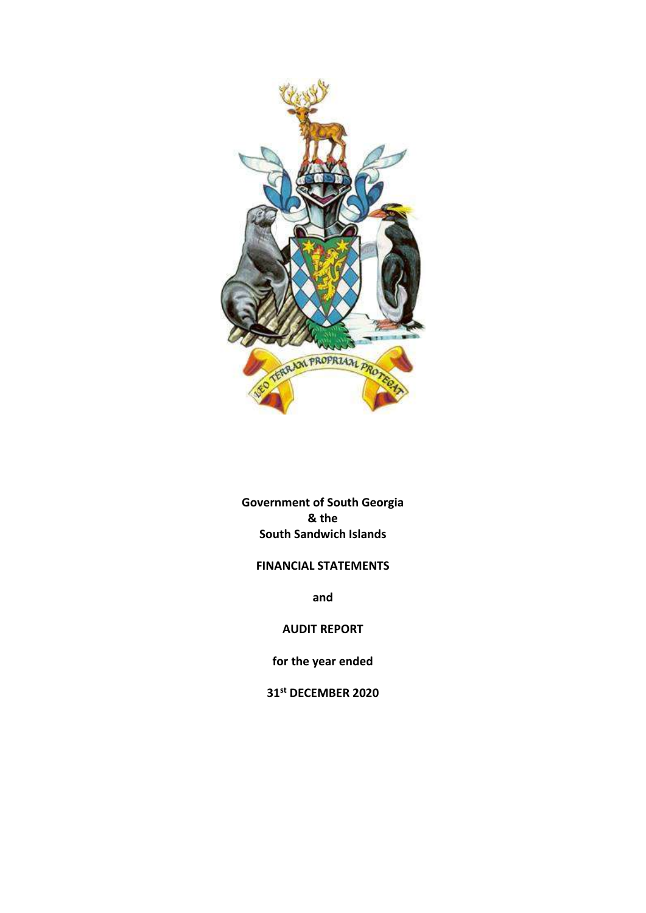

Government of South Georgia & the South Sandwich Islands

# FINANCIAL STATEMENTS

and

AUDIT REPORT

for the year ended

31st DECEMBER 2020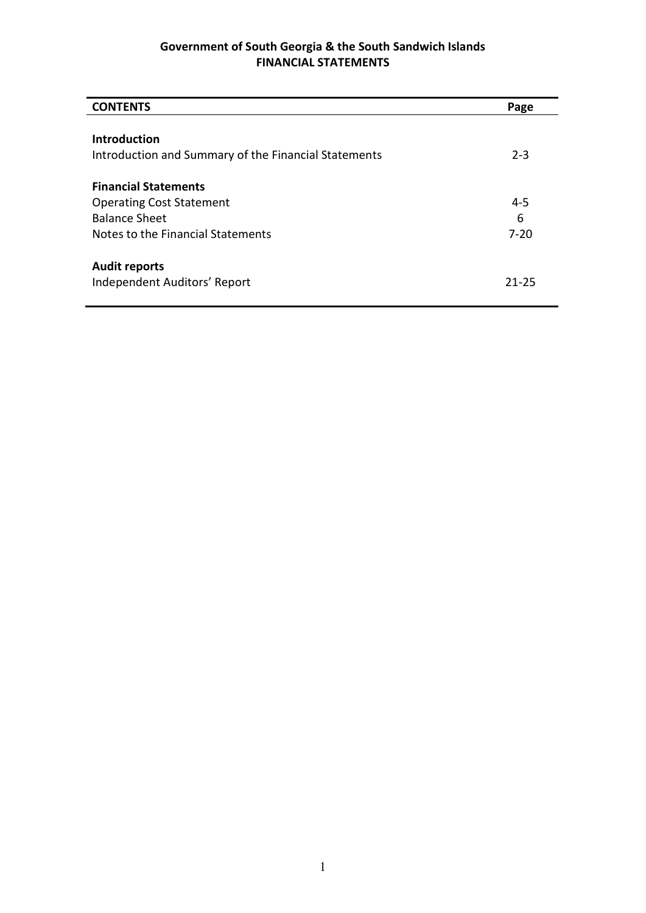| <b>CONTENTS</b>                                      | Page      |
|------------------------------------------------------|-----------|
|                                                      |           |
| <b>Introduction</b>                                  |           |
| Introduction and Summary of the Financial Statements | $2 - 3$   |
| <b>Financial Statements</b>                          |           |
| <b>Operating Cost Statement</b>                      | $4 - 5$   |
| <b>Balance Sheet</b>                                 | 6         |
| Notes to the Financial Statements                    | $7 - 20$  |
| <b>Audit reports</b>                                 |           |
| Independent Auditors' Report                         | $21 - 25$ |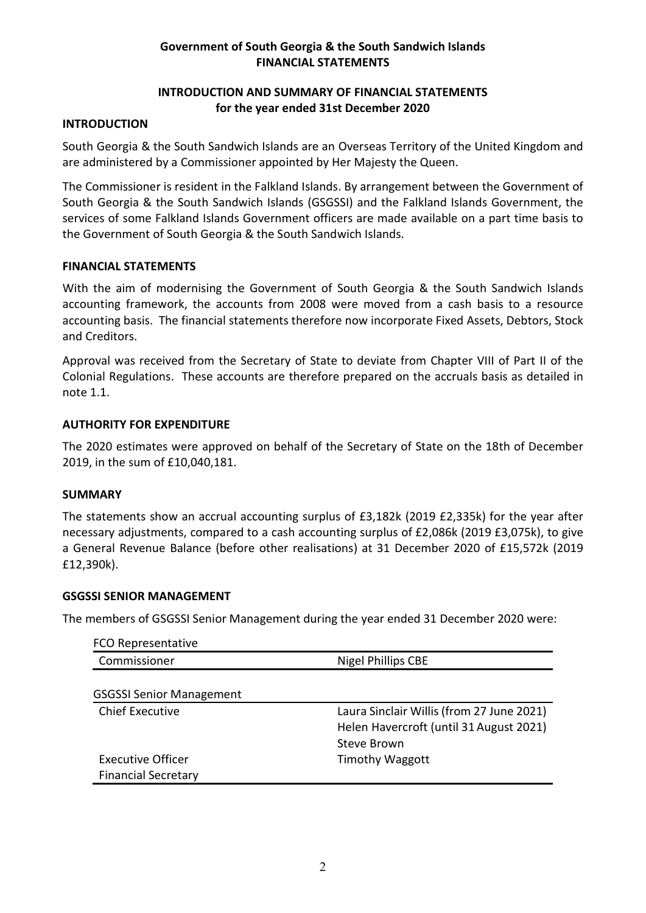# INTRODUCTION AND SUMMARY OF FINANCIAL STATEMENTS for the year ended 31st December 2020

#### INTRODUCTION

South Georgia & the South Sandwich Islands are an Overseas Territory of the United Kingdom and are administered by a Commissioner appointed by Her Majesty the Queen.

The Commissioner is resident in the Falkland Islands. By arrangement between the Government of South Georgia & the South Sandwich Islands (GSGSSI) and the Falkland Islands Government, the services of some Falkland Islands Government officers are made available on a part time basis to the Government of South Georgia & the South Sandwich Islands.

#### FINANCIAL STATEMENTS

With the aim of modernising the Government of South Georgia & the South Sandwich Islands accounting framework, the accounts from 2008 were moved from a cash basis to a resource accounting basis. The financial statements therefore now incorporate Fixed Assets, Debtors, Stock and Creditors.

Approval was received from the Secretary of State to deviate from Chapter VIII of Part II of the Colonial Regulations. These accounts are therefore prepared on the accruals basis as detailed in note 1.1.

#### AUTHORITY FOR EXPENDITURE

The 2020 estimates were approved on behalf of the Secretary of State on the 18th of December 2019, in the sum of £10,040,181.

#### SUMMARY

The statements show an accrual accounting surplus of £3,182k (2019 £2,335k) for the year after necessary adjustments, compared to a cash accounting surplus of £2,086k (2019 £3,075k), to give a General Revenue Balance (before other realisations) at 31 December 2020 of £15,572k (2019 £12,390k).

#### GSGSSI SENIOR MANAGEMENT

The members of GSGSSI Senior Management during the year ended 31 December 2020 were:

| <b>FCO Representative</b>       |                                           |
|---------------------------------|-------------------------------------------|
| Commissioner                    | <b>Nigel Phillips CBE</b>                 |
|                                 |                                           |
| <b>GSGSSI Senior Management</b> |                                           |
| <b>Chief Executive</b>          | Laura Sinclair Willis (from 27 June 2021) |
|                                 | Helen Havercroft (until 31 August 2021)   |
|                                 | <b>Steve Brown</b>                        |
| <b>Executive Officer</b>        | <b>Timothy Waggott</b>                    |
| <b>Financial Secretary</b>      |                                           |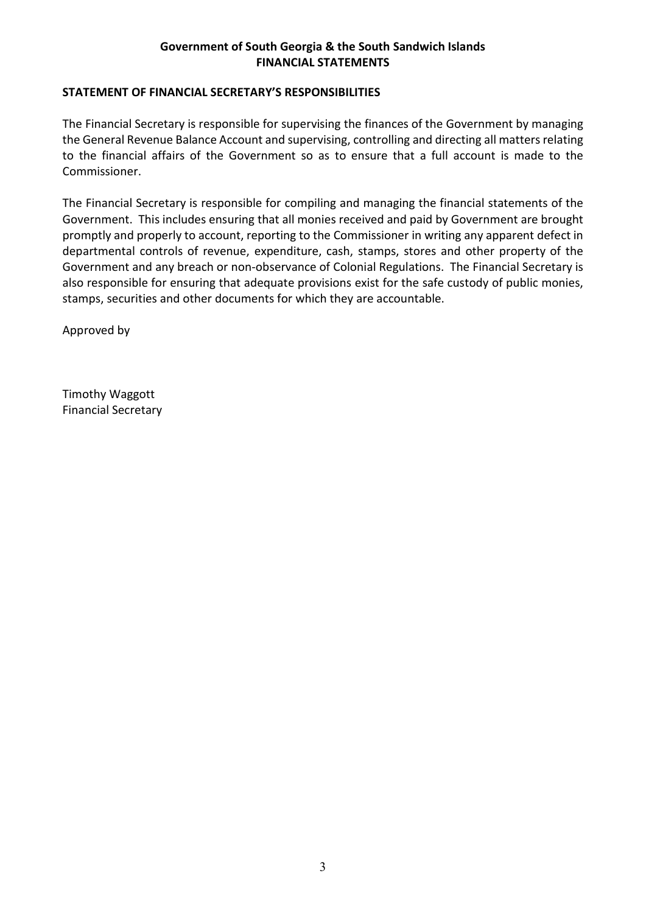## STATEMENT OF FINANCIAL SECRETARY'S RESPONSIBILITIES

The Financial Secretary is responsible for supervising the finances of the Government by managing the General Revenue Balance Account and supervising, controlling and directing all matters relating to the financial affairs of the Government so as to ensure that a full account is made to the Commissioner.

The Financial Secretary is responsible for compiling and managing the financial statements of the Government. This includes ensuring that all monies received and paid by Government are brought promptly and properly to account, reporting to the Commissioner in writing any apparent defect in departmental controls of revenue, expenditure, cash, stamps, stores and other property of the Government and any breach or non-observance of Colonial Regulations. The Financial Secretary is also responsible for ensuring that adequate provisions exist for the safe custody of public monies, stamps, securities and other documents for which they are accountable.

Approved by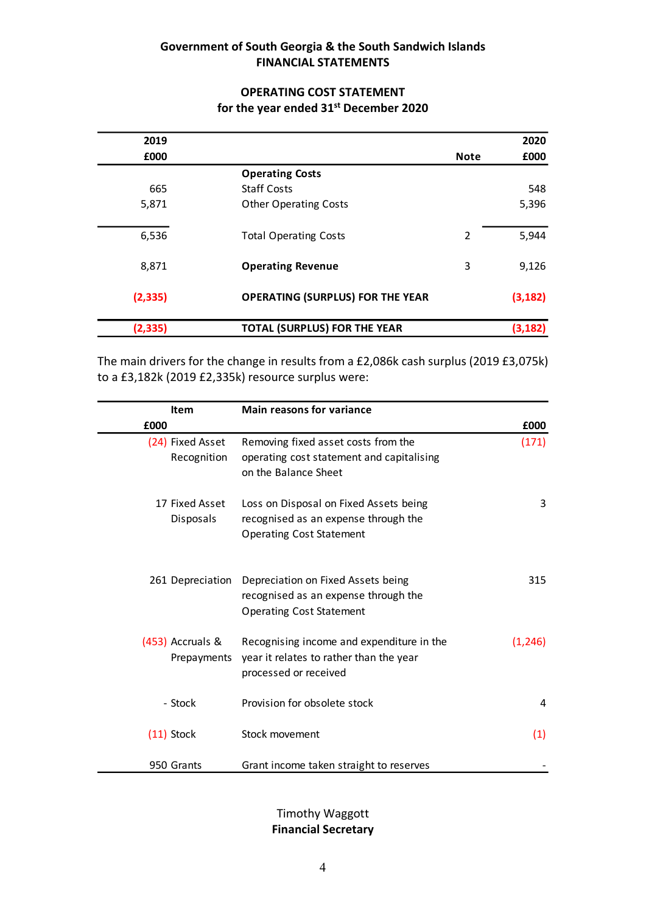# OPERATING COST STATEMENT for the year ended 31<sup>st</sup> December 2020

|          | Government of South Georgia & the South Sandwich Islands<br><b>FINANCIAL STATEMENTS</b> |                |          |
|----------|-----------------------------------------------------------------------------------------|----------------|----------|
|          |                                                                                         |                |          |
|          | <b>OPERATING COST STATEMENT</b>                                                         |                |          |
|          | for the year ended 31st December 2020                                                   |                |          |
| 2019     |                                                                                         |                | 2020     |
| £000     |                                                                                         | <b>Note</b>    | £000     |
|          | <b>Operating Costs</b>                                                                  |                |          |
| 665      | <b>Staff Costs</b>                                                                      |                | 548      |
| 5,871    | <b>Other Operating Costs</b>                                                            |                | 5,396    |
| 6,536    | <b>Total Operating Costs</b>                                                            | $\overline{2}$ | 5,944    |
| 8,871    | <b>Operating Revenue</b>                                                                | 3              | 9,126    |
|          | <b>OPERATING (SURPLUS) FOR THE YEAR</b>                                                 |                | (3, 182) |
| (2, 335) |                                                                                         |                |          |

|          |                                                                                                                                | to a £3,182k (2019 £2,335k) resource surplus were: |
|----------|--------------------------------------------------------------------------------------------------------------------------------|----------------------------------------------------|
|          | <b>Main reasons for variance</b>                                                                                               | <b>Item</b>                                        |
| £000     |                                                                                                                                | £000                                               |
| (171)    | Removing fixed asset costs from the<br>operating cost statement and capitalising<br>on the Balance Sheet                       | (24) Fixed Asset<br>Recognition                    |
| 3        | Loss on Disposal on Fixed Assets being<br>recognised as an expense through the<br><b>Operating Cost Statement</b>              | 17 Fixed Asset<br>Disposals                        |
| 315      | 261 Depreciation Depreciation on Fixed Assets being<br>recognised as an expense through the<br><b>Operating Cost Statement</b> |                                                    |
| (1, 246) | Recognising income and expenditure in the<br>year it relates to rather than the year<br>processed or received                  | (453) Accruals &<br>Prepayments                    |
| 4        | Provision for obsolete stock                                                                                                   | - Stock                                            |
| (1)      | Stock movement                                                                                                                 | $(11)$ Stock                                       |
|          | Grant income taken straight to reserves                                                                                        | 950 Grants                                         |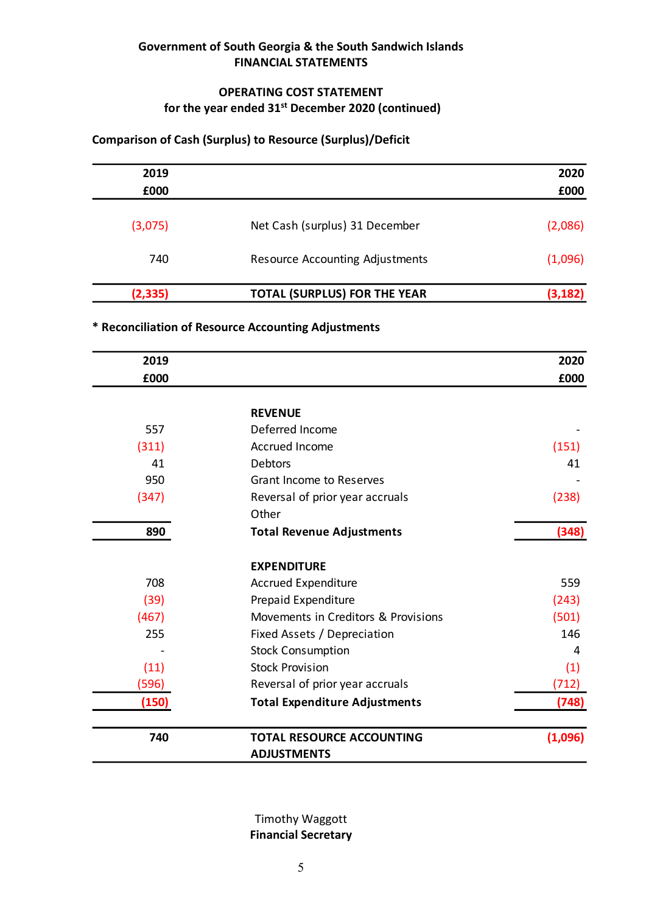## OPERATING COST STATEMENT for the year ended  $31^{st}$  December 2020 (continued)

# Comparison of Cash (Surplus) to Resource (Surplus)/Deficit

| 2019     |                                        | 2020     |
|----------|----------------------------------------|----------|
| £000     |                                        | £000     |
| (3,075)  | Net Cash (surplus) 31 December         | (2,086)  |
| 740      | <b>Resource Accounting Adjustments</b> | (1,096)  |
| (2, 335) | <b>TOTAL (SURPLUS) FOR THE YEAR</b>    | (3, 182) |

# \* Reconciliation of Resource Accounting Adjustments

| 2019                     |                                                     | 2020     |
|--------------------------|-----------------------------------------------------|----------|
| £000                     |                                                     | £000     |
| (3,075)                  | Net Cash (surplus) 31 December                      | (2,086)  |
| 740                      | <b>Resource Accounting Adjustments</b>              | (1,096)  |
| (2, 335)                 | <b>TOTAL (SURPLUS) FOR THE YEAR</b>                 | (3, 182) |
|                          | * Reconciliation of Resource Accounting Adjustments |          |
| 2019                     |                                                     | 2020     |
| £000                     |                                                     | £000     |
|                          |                                                     |          |
|                          | <b>REVENUE</b>                                      |          |
| 557                      | Deferred Income                                     |          |
| (311)                    | Accrued Income                                      | (151)    |
| 41                       | <b>Debtors</b>                                      | 41       |
| 950                      | <b>Grant Income to Reserves</b>                     |          |
| (347)                    | Reversal of prior year accruals<br>Other            | (238)    |
| 890                      | <b>Total Revenue Adjustments</b>                    | (348)    |
|                          | <b>EXPENDITURE</b>                                  |          |
| 708                      | Accrued Expenditure                                 | 559      |
| (39)                     | Prepaid Expenditure                                 | (243)    |
| (467)                    | Movements in Creditors & Provisions                 | (501)    |
| 255                      | Fixed Assets / Depreciation                         | 146      |
| $\overline{\phantom{a}}$ | <b>Stock Consumption</b>                            | 4        |
| (11)                     | <b>Stock Provision</b>                              | (1)      |
| (596)                    | Reversal of prior year accruals                     | (712)    |
| (150)                    | <b>Total Expenditure Adjustments</b>                | (748)    |
| 740                      | <b>TOTAL RESOURCE ACCOUNTING</b>                    | (1,096)  |
|                          | <b>ADJUSTMENTS</b>                                  |          |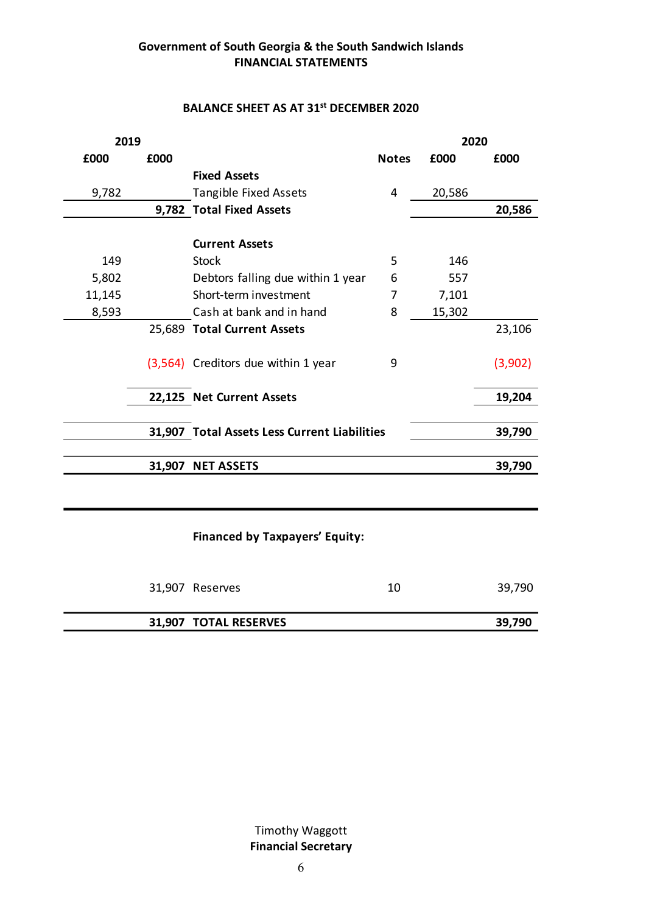#### BALANCE SHEET AS AT 31<sup>st</sup> DECEMBER 2020

|        |      | <b>BALANCE SHEET AS AT 31st DECEMBER 2020</b> |                |        |         |
|--------|------|-----------------------------------------------|----------------|--------|---------|
| 2019   |      |                                               |                | 2020   |         |
| £000   | £000 |                                               | <b>Notes</b>   | £000   | £000    |
|        |      | <b>Fixed Assets</b>                           |                |        |         |
| 9,782  |      | Tangible Fixed Assets                         | 4              | 20,586 |         |
|        |      | 9,782 Total Fixed Assets                      |                |        | 20,586  |
|        |      | <b>Current Assets</b>                         |                |        |         |
| 149    |      | <b>Stock</b>                                  | 5              | 146    |         |
| 5,802  |      | Debtors falling due within 1 year             | 6              | 557    |         |
| 11,145 |      | Short-term investment                         | $\overline{7}$ | 7,101  |         |
| 8,593  |      | Cash at bank and in hand                      | 8              | 15,302 |         |
|        |      | 25,689 Total Current Assets                   |                |        | 23,106  |
|        |      |                                               |                |        |         |
|        |      | (3,564) Creditors due within 1 year           | 9              |        | (3,902) |
|        |      |                                               |                |        |         |
|        |      | 22,125 Net Current Assets                     |                |        | 19,204  |
|        |      |                                               |                |        |         |
|        |      | 31,907 Total Assets Less Current Liabilities  |                |        | 39,790  |
|        |      |                                               |                |        |         |
|        |      | 31,907 NET ASSETS                             |                |        | 39,790  |
|        |      |                                               |                |        |         |
|        |      | Financed by Taxpayers' Equity:                |                |        |         |
|        |      | 31,907 Reserves                               | 10             |        | 39,790  |
|        |      | 31,907 TOTAL RESERVES                         |                |        | 39,790  |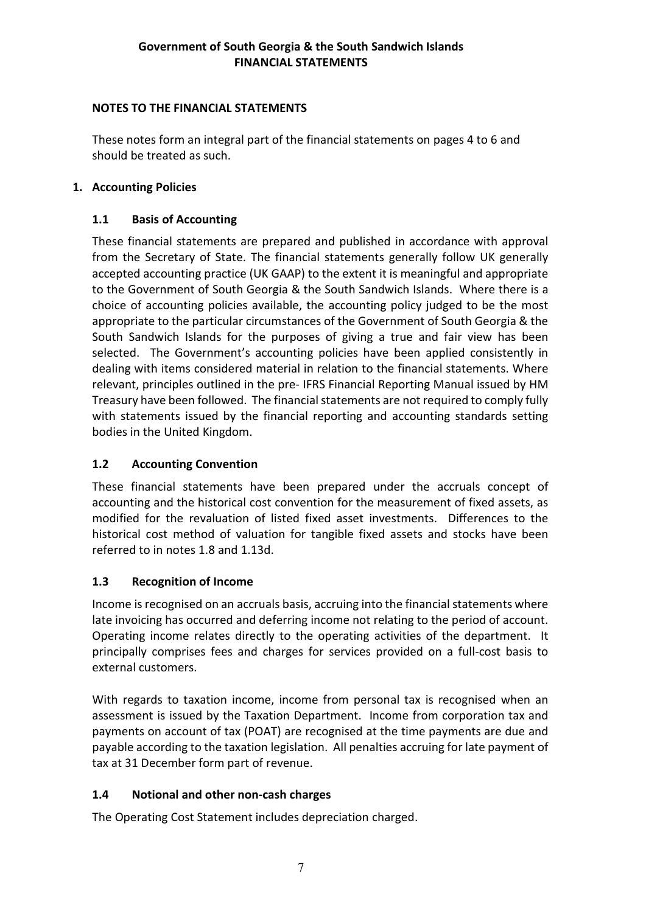### NOTES TO THE FINANCIAL STATEMENTS

These notes form an integral part of the financial statements on pages 4 to 6 and should be treated as such.

#### 1. Accounting Policies

# 1.1 Basis of Accounting

These financial statements are prepared and published in accordance with approval from the Secretary of State. The financial statements generally follow UK generally accepted accounting practice (UK GAAP) to the extent it is meaningful and appropriate to the Government of South Georgia & the South Sandwich Islands. Where there is a choice of accounting policies available, the accounting policy judged to be the most appropriate to the particular circumstances of the Government of South Georgia & the South Sandwich Islands for the purposes of giving a true and fair view has been selected. The Government's accounting policies have been applied consistently in dealing with items considered material in relation to the financial statements. Where relevant, principles outlined in the pre- IFRS Financial Reporting Manual issued by HM Treasury have been followed. The financial statements are not required to comply fully with statements issued by the financial reporting and accounting standards setting bodies in the United Kingdom.

## 1.2 Accounting Convention

These financial statements have been prepared under the accruals concept of accounting and the historical cost convention for the measurement of fixed assets, as modified for the revaluation of listed fixed asset investments. Differences to the historical cost method of valuation for tangible fixed assets and stocks have been referred to in notes 1.8 and 1.13d.

## 1.3 Recognition of Income

Income is recognised on an accruals basis, accruing into the financial statements where late invoicing has occurred and deferring income not relating to the period of account. Operating income relates directly to the operating activities of the department. It principally comprises fees and charges for services provided on a full-cost basis to external customers.

With regards to taxation income, income from personal tax is recognised when an assessment is issued by the Taxation Department. Income from corporation tax and payments on account of tax (POAT) are recognised at the time payments are due and payable according to the taxation legislation. All penalties accruing for late payment of tax at 31 December form part of revenue.

# 1.4 Notional and other non-cash charges

The Operating Cost Statement includes depreciation charged.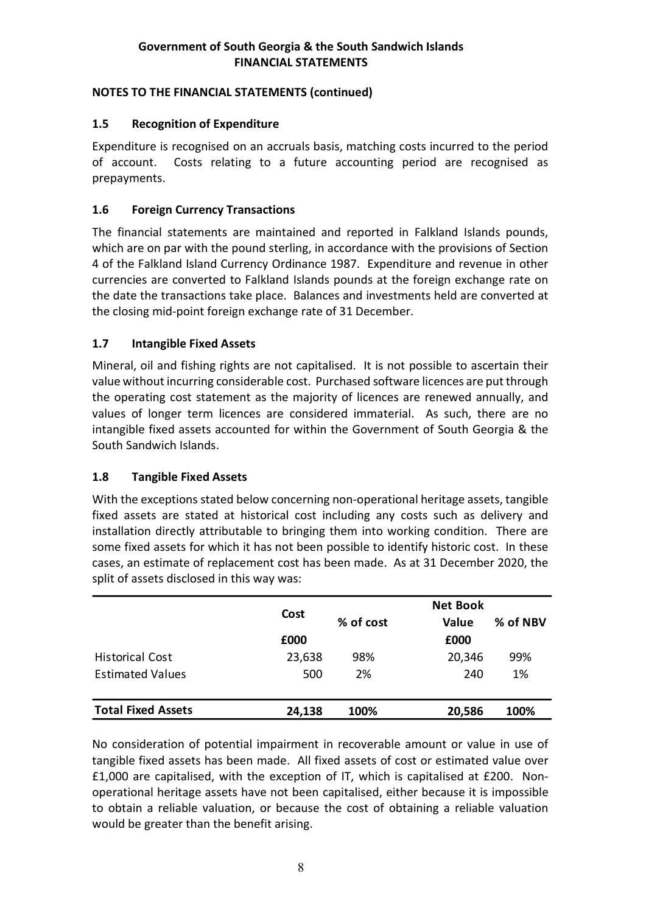## NOTES TO THE FINANCIAL STATEMENTS (continued)

# 1.5 Recognition of Expenditure

Expenditure is recognised on an accruals basis, matching costs incurred to the period of account. Costs relating to a future accounting period are recognised as prepayments.

# 1.6 Foreign Currency Transactions

The financial statements are maintained and reported in Falkland Islands pounds, which are on par with the pound sterling, in accordance with the provisions of Section 4 of the Falkland Island Currency Ordinance 1987. Expenditure and revenue in other currencies are converted to Falkland Islands pounds at the foreign exchange rate on the date the transactions take place. Balances and investments held are converted at the closing mid-point foreign exchange rate of 31 December.

# 1.7 Intangible Fixed Assets

## 1.8 Tangible Fixed Assets

| the operating cost statement as the majority of licences are renewed annually, and<br>values of longer term licences are considered immaterial. As such, there are no<br>intangible fixed assets accounted for within the Government of South Georgia & the<br>South Sandwich Islands. |        |           |                 |          |  |
|----------------------------------------------------------------------------------------------------------------------------------------------------------------------------------------------------------------------------------------------------------------------------------------|--------|-----------|-----------------|----------|--|
| 1.8<br><b>Tangible Fixed Assets</b>                                                                                                                                                                                                                                                    |        |           |                 |          |  |
| fixed assets are stated at historical cost including any costs such as delivery and<br>installation directly attributable to bringing them into working condition. There are<br>some fixed assets for which it has not been possible to identify historic cost. In these               |        |           |                 |          |  |
| cases, an estimate of replacement cost has been made. As at 31 December 2020, the<br>split of assets disclosed in this way was:                                                                                                                                                        |        |           |                 |          |  |
|                                                                                                                                                                                                                                                                                        | Cost   |           | <b>Net Book</b> |          |  |
|                                                                                                                                                                                                                                                                                        | £000   | % of cost | Value<br>£000   | % of NBV |  |
| <b>Historical Cost</b>                                                                                                                                                                                                                                                                 | 23,638 | 98%       | 20,346          | 99%      |  |
| <b>Estimated Values</b>                                                                                                                                                                                                                                                                | 500    | 2%        | 240             | 1%       |  |

No consideration of potential impairment in recoverable amount or value in use of tangible fixed assets has been made. All fixed assets of cost or estimated value over £1,000 are capitalised, with the exception of IT, which is capitalised at £200. Nonoperational heritage assets have not been capitalised, either because it is impossible to obtain a reliable valuation, or because the cost of obtaining a reliable valuation would be greater than the benefit arising.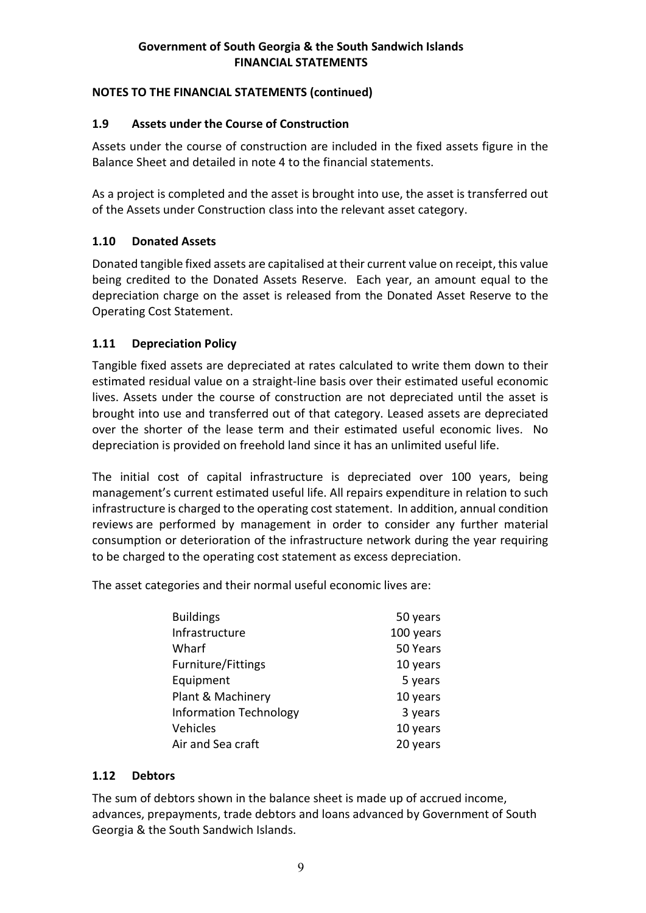# NOTES TO THE FINANCIAL STATEMENTS (continued)

# 1.9 Assets under the Course of Construction

Assets under the course of construction are included in the fixed assets figure in the Balance Sheet and detailed in note 4 to the financial statements.

As a project is completed and the asset is brought into use, the asset is transferred out of the Assets under Construction class into the relevant asset category.

# 1.10 Donated Assets

Donated tangible fixed assets are capitalised at their current value on receipt, this value being credited to the Donated Assets Reserve. Each year, an amount equal to the depreciation charge on the asset is released from the Donated Asset Reserve to the Operating Cost Statement.

## 1.11 Depreciation Policy

Tangible fixed assets are depreciated at rates calculated to write them down to their estimated residual value on a straight-line basis over their estimated useful economic lives. Assets under the course of construction are not depreciated until the asset is brought into use and transferred out of that category. Leased assets are depreciated over the shorter of the lease term and their estimated useful economic lives. No depreciation is provided on freehold land since it has an unlimited useful life.

The initial cost of capital infrastructure is depreciated over 100 years, being management's current estimated useful life. All repairs expenditure in relation to such infrastructure is charged to the operating cost statement. In addition, annual condition reviews are performed by management in order to consider any further material consumption or deterioration of the infrastructure network during the year requiring to be charged to the operating cost statement as excess depreciation.

The asset categories and their normal useful economic lives are:

| <b>Buildings</b>              | 50 years  |
|-------------------------------|-----------|
| Infrastructure                | 100 years |
| Wharf                         | 50 Years  |
| <b>Furniture/Fittings</b>     | 10 years  |
| Equipment                     | 5 years   |
| Plant & Machinery             | 10 years  |
| <b>Information Technology</b> | 3 years   |
| Vehicles                      | 10 years  |
| Air and Sea craft             | 20 years  |

## 1.12 Debtors

The sum of debtors shown in the balance sheet is made up of accrued income, advances, prepayments, trade debtors and loans advanced by Government of South Georgia & the South Sandwich Islands.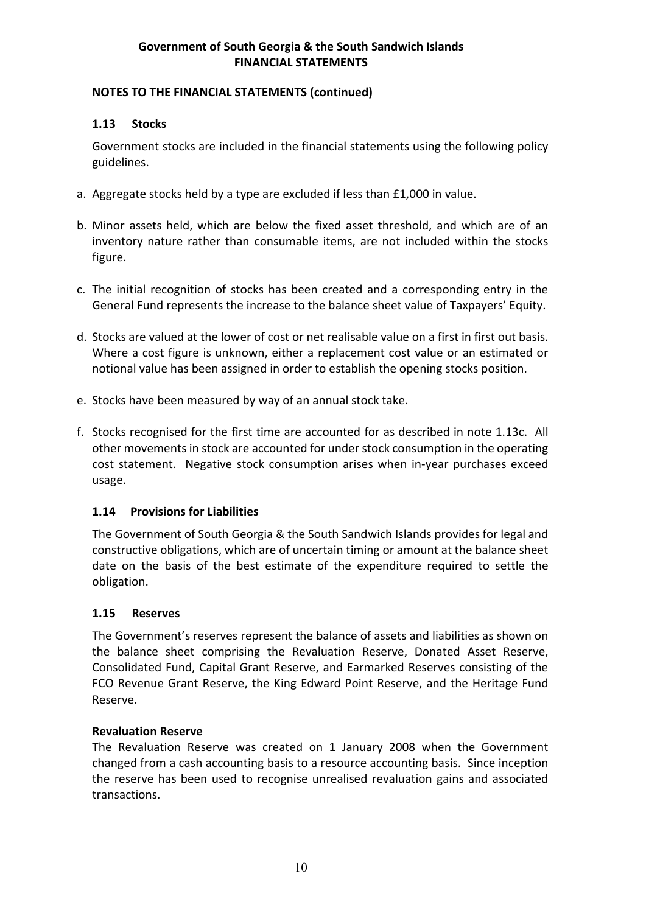#### NOTES TO THE FINANCIAL STATEMENTS (continued)

#### 1.13 Stocks

Government stocks are included in the financial statements using the following policy guidelines.

- a. Aggregate stocks held by a type are excluded if less than £1,000 in value.
- b. Minor assets held, which are below the fixed asset threshold, and which are of an inventory nature rather than consumable items, are not included within the stocks figure.
- c. The initial recognition of stocks has been created and a corresponding entry in the General Fund represents the increase to the balance sheet value of Taxpayers' Equity.
- d. Stocks are valued at the lower of cost or net realisable value on a first in first out basis. Where a cost figure is unknown, either a replacement cost value or an estimated or notional value has been assigned in order to establish the opening stocks position.
- e. Stocks have been measured by way of an annual stock take.
- f. Stocks recognised for the first time are accounted for as described in note 1.13c. All other movements in stock are accounted for under stock consumption in the operating cost statement. Negative stock consumption arises when in-year purchases exceed usage.

## 1.14 Provisions for Liabilities

The Government of South Georgia & the South Sandwich Islands provides for legal and constructive obligations, which are of uncertain timing or amount at the balance sheet date on the basis of the best estimate of the expenditure required to settle the obligation.

#### 1.15 Reserves

The Government's reserves represent the balance of assets and liabilities as shown on the balance sheet comprising the Revaluation Reserve, Donated Asset Reserve, Consolidated Fund, Capital Grant Reserve, and Earmarked Reserves consisting of the FCO Revenue Grant Reserve, the King Edward Point Reserve, and the Heritage Fund Reserve.

#### Revaluation Reserve

The Revaluation Reserve was created on 1 January 2008 when the Government changed from a cash accounting basis to a resource accounting basis. Since inception the reserve has been used to recognise unrealised revaluation gains and associated transactions.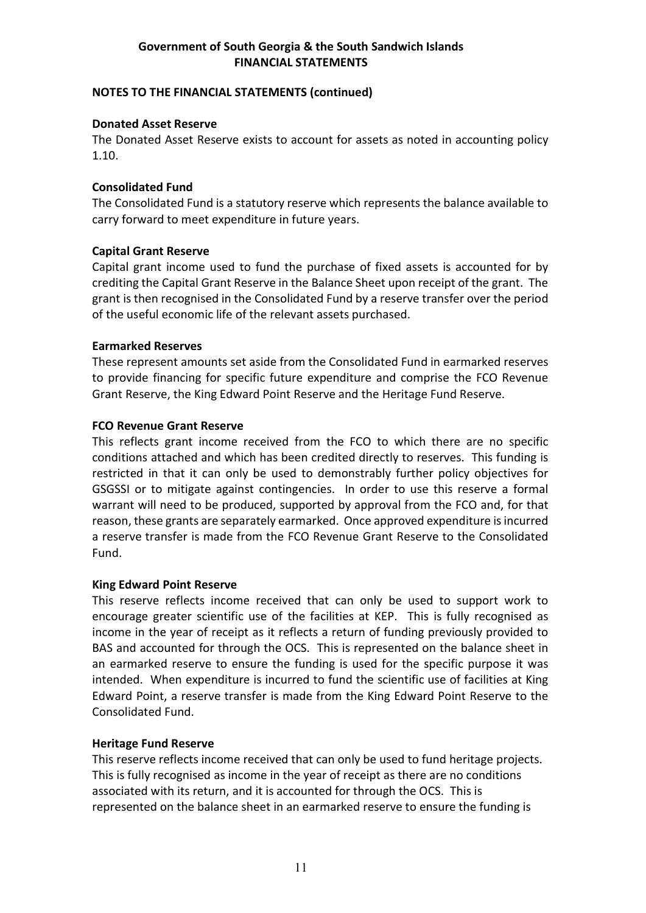#### NOTES TO THE FINANCIAL STATEMENTS (continued)

#### Donated Asset Reserve

The Donated Asset Reserve exists to account for assets as noted in accounting policy 1.10.

#### Consolidated Fund

The Consolidated Fund is a statutory reserve which represents the balance available to carry forward to meet expenditure in future years.

#### Capital Grant Reserve

Capital grant income used to fund the purchase of fixed assets is accounted for by crediting the Capital Grant Reserve in the Balance Sheet upon receipt of the grant. The grant is then recognised in the Consolidated Fund by a reserve transfer over the period of the useful economic life of the relevant assets purchased.

#### Earmarked Reserves

These represent amounts set aside from the Consolidated Fund in earmarked reserves to provide financing for specific future expenditure and comprise the FCO Revenue Grant Reserve, the King Edward Point Reserve and the Heritage Fund Reserve.

#### FCO Revenue Grant Reserve

This reflects grant income received from the FCO to which there are no specific conditions attached and which has been credited directly to reserves. This funding is restricted in that it can only be used to demonstrably further policy objectives for GSGSSI or to mitigate against contingencies. In order to use this reserve a formal warrant will need to be produced, supported by approval from the FCO and, for that reason, these grants are separately earmarked. Once approved expenditure is incurred a reserve transfer is made from the FCO Revenue Grant Reserve to the Consolidated Fund.

#### King Edward Point Reserve

This reserve reflects income received that can only be used to support work to encourage greater scientific use of the facilities at KEP. This is fully recognised as income in the year of receipt as it reflects a return of funding previously provided to BAS and accounted for through the OCS. This is represented on the balance sheet in an earmarked reserve to ensure the funding is used for the specific purpose it was intended. When expenditure is incurred to fund the scientific use of facilities at King Edward Point, a reserve transfer is made from the King Edward Point Reserve to the Consolidated Fund.

#### Heritage Fund Reserve

This reserve reflects income received that can only be used to fund heritage projects. This is fully recognised as income in the year of receipt as there are no conditions associated with its return, and it is accounted for through the OCS. This is represented on the balance sheet in an earmarked reserve to ensure the funding is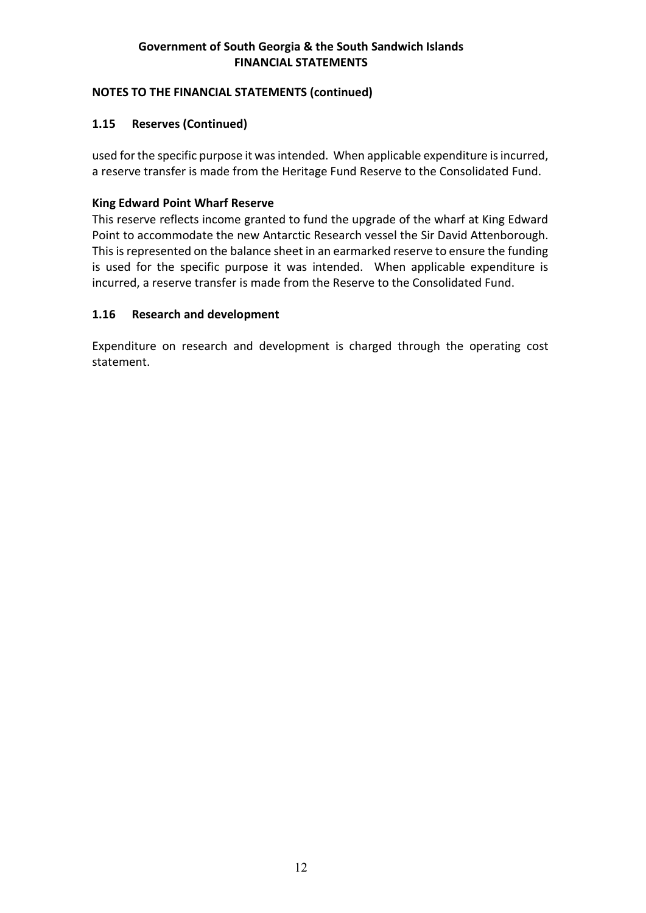## NOTES TO THE FINANCIAL STATEMENTS (continued)

## 1.15 Reserves (Continued)

used for the specific purpose it was intended. When applicable expenditure is incurred, a reserve transfer is made from the Heritage Fund Reserve to the Consolidated Fund.

## King Edward Point Wharf Reserve

This reserve reflects income granted to fund the upgrade of the wharf at King Edward Point to accommodate the new Antarctic Research vessel the Sir David Attenborough. This is represented on the balance sheet in an earmarked reserve to ensure the funding is used for the specific purpose it was intended. When applicable expenditure is incurred, a reserve transfer is made from the Reserve to the Consolidated Fund.

#### 1.16 Research and development

Expenditure on research and development is charged through the operating cost statement.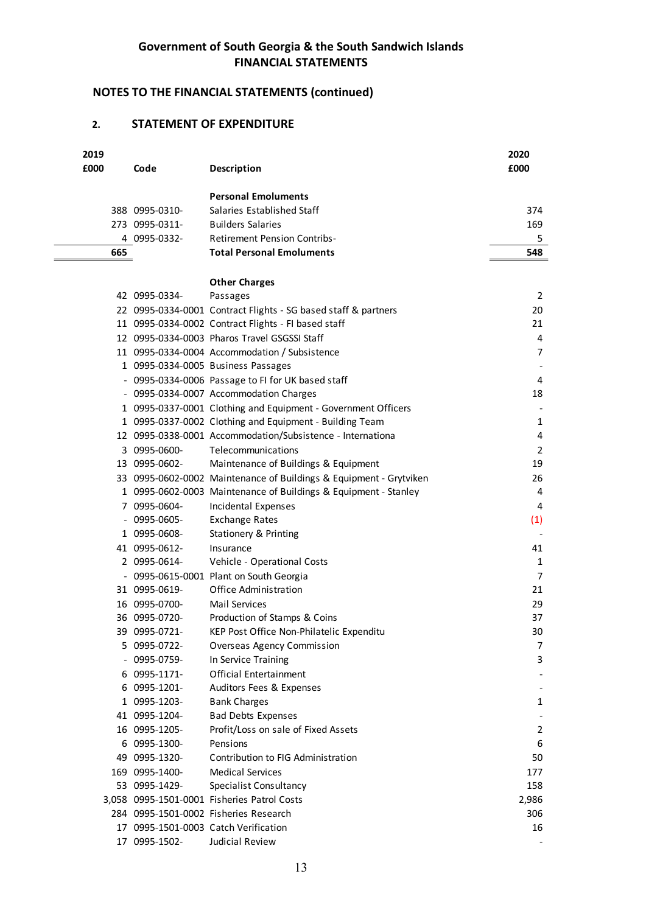# NOTES TO THE FINANCIAL STATEMENTS (continued)

#### 2. STATEMENT OF EXPENDITURE

|      |                                  | Government of South Georgia & the South Sandwich Islands                            |                     |
|------|----------------------------------|-------------------------------------------------------------------------------------|---------------------|
|      |                                  | <b>FINANCIAL STATEMENTS</b><br><b>NOTES TO THE FINANCIAL STATEMENTS (continued)</b> |                     |
| 2.   |                                  | <b>STATEMENT OF EXPENDITURE</b>                                                     |                     |
| 2019 |                                  |                                                                                     | 2020                |
| £000 | Code                             | Description                                                                         | £000                |
|      |                                  | <b>Personal Emoluments</b>                                                          |                     |
|      | 388 0995-0310-                   | Salaries Established Staff                                                          | 374                 |
|      | 273 0995-0311-                   | <b>Builders Salaries</b>                                                            | 169                 |
|      | 4 0995-0332-                     | <b>Retirement Pension Contribs-</b>                                                 | 5                   |
| 665  |                                  | <b>Total Personal Emoluments</b>                                                    | 548                 |
|      |                                  | <b>Other Charges</b>                                                                |                     |
|      | 42 0995-0334-                    | Passages                                                                            | 2                   |
|      |                                  | 22 0995-0334-0001 Contract Flights - SG based staff & partners                      | 20                  |
|      |                                  | 11 0995-0334-0002 Contract Flights - FI based staff                                 | 21                  |
|      |                                  | 12 0995-0334-0003 Pharos Travel GSGSSI Staff                                        | 4                   |
|      |                                  | 11 0995-0334-0004 Accommodation / Subsistence<br>1 0995-0334-0005 Business Passages | 7                   |
|      |                                  | - 0995-0334-0006 Passage to FI for UK based staff                                   | 4                   |
|      |                                  | - 0995-0334-0007 Accommodation Charges                                              | 18                  |
|      |                                  | 1 0995-0337-0001 Clothing and Equipment - Government Officers                       |                     |
|      |                                  | 1 0995-0337-0002 Clothing and Equipment - Building Team                             | 1                   |
|      |                                  | 12 0995-0338-0001 Accommodation/Subsistence - Internationa                          | 4                   |
|      | 3 0995-0600-<br>13 0995-0602-    | Telecommunications<br>Maintenance of Buildings & Equipment                          | 2<br>19             |
|      |                                  | 33 0995-0602-0002 Maintenance of Buildings & Equipment - Grytviken                  | 26                  |
|      |                                  | 1 0995-0602-0003 Maintenance of Buildings & Equipment - Stanley                     | 4                   |
|      | 7 0995-0604-                     | Incidental Expenses                                                                 | 4                   |
|      | $-0995 - 0605 -$                 | <b>Exchange Rates</b>                                                               | (1)                 |
|      | 1 0995-0608-                     | Stationery & Printing                                                               |                     |
|      | 41 0995-0612-                    | Insurance                                                                           | 41                  |
|      | 2 0995-0614-                     | Vehicle - Operational Costs<br>- 0995-0615-0001 Plant on South Georgia              | 1<br>$\overline{7}$ |
|      | 31 0995-0619-                    | Office Administration                                                               | 21                  |
|      | 16 0995-0700-                    | <b>Mail Services</b>                                                                | 29                  |
|      | 36 0995-0720-                    | Production of Stamps & Coins                                                        | 37                  |
|      | 39 0995-0721-                    | KEP Post Office Non-Philatelic Expenditu                                            | 30                  |
|      | 5 0995-0722-                     | <b>Overseas Agency Commission</b>                                                   | 7                   |
|      | $-0995 - 0759 -$<br>6 0995-1171- | In Service Training<br><b>Official Entertainment</b>                                | 3                   |
|      | 6 0995-1201-                     | Auditors Fees & Expenses                                                            |                     |
|      | 1 0995-1203-                     | <b>Bank Charges</b>                                                                 | 1                   |
|      | 41 0995-1204-                    | <b>Bad Debts Expenses</b>                                                           |                     |
|      | 16 0995-1205-                    | Profit/Loss on sale of Fixed Assets                                                 | 2                   |
|      | 6 0995-1300-                     | Pensions                                                                            | 6                   |
|      | 49 0995-1320-<br>169 0995-1400-  | Contribution to FIG Administration<br><b>Medical Services</b>                       | 50<br>177           |
|      | 53 0995-1429-                    | Specialist Consultancy                                                              | 158                 |
|      |                                  | 3,058 0995-1501-0001 Fisheries Patrol Costs                                         | 2,986               |
|      |                                  | 284 0995-1501-0002 Fisheries Research                                               | 306                 |
|      |                                  | 17 0995-1501-0003 Catch Verification                                                | 16                  |
|      | 17 0995-1502-                    | Judicial Review                                                                     |                     |
|      |                                  | 13                                                                                  |                     |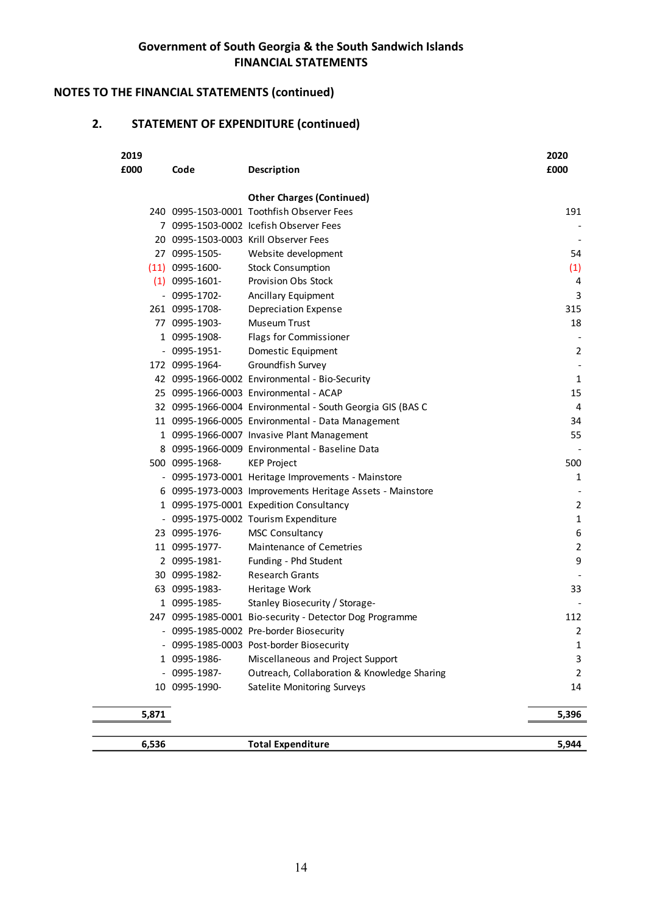# NOTES TO THE FINANCIAL STATEMENTS (continued)

# 2. STATEMENT OF EXPENDITURE (continued)

|              |       |                                 | Government of South Georgia & the South Sandwich Islands<br><b>FINANCIAL STATEMENTS</b> |                               |
|--------------|-------|---------------------------------|-----------------------------------------------------------------------------------------|-------------------------------|
|              |       |                                 | O THE FINANCIAL STATEMENTS (continued)                                                  |                               |
|              |       |                                 | <b>STATEMENT OF EXPENDITURE (continued)</b>                                             |                               |
| 2019<br>£000 |       | Code                            | Description                                                                             | 2020<br>£000                  |
|              |       |                                 | <b>Other Charges (Continued)</b>                                                        |                               |
|              |       |                                 | 240 0995-1503-0001 Toothfish Observer Fees                                              | 191                           |
|              |       |                                 | 7 0995-1503-0002 Icefish Observer Fees                                                  |                               |
|              |       |                                 | 20 0995-1503-0003 Krill Observer Fees                                                   |                               |
|              |       | 27 0995-1505-                   | Website development                                                                     | 54                            |
|              |       | $(11)$ 0995-1600-               | <b>Stock Consumption</b>                                                                | (1)                           |
|              |       | $(1)$ 0995-1601-                | Provision Obs Stock                                                                     | 4                             |
|              |       | $-0995-1702-$                   | Ancillary Equipment                                                                     | 3                             |
|              |       | 261 0995-1708-<br>77 0995-1903- | <b>Depreciation Expense</b><br>Museum Trust                                             | 315<br>18                     |
|              |       | 1 0995-1908-                    | Flags for Commissioner                                                                  |                               |
|              |       | $-0995 - 1951 -$                | Domestic Equipment                                                                      | 2                             |
|              |       | 172 0995-1964-                  | Groundfish Survey                                                                       | $\overline{\phantom{a}}$      |
|              |       |                                 | 42 0995-1966-0002 Environmental - Bio-Security                                          | 1                             |
|              |       |                                 | 25 0995-1966-0003 Environmental - ACAP                                                  | 15                            |
|              |       |                                 | 32 0995-1966-0004 Environmental - South Georgia GIS (BAS C                              | 4                             |
|              |       |                                 | 11 0995-1966-0005 Environmental - Data Management                                       | 34                            |
|              |       |                                 | 1 0995-1966-0007 Invasive Plant Management                                              | 55                            |
|              |       |                                 | 8 0995-1966-0009 Environmental - Baseline Data                                          |                               |
|              |       | 500 0995-1968-                  | <b>KEP Project</b>                                                                      | 500                           |
|              |       |                                 | - 0995-1973-0001 Heritage Improvements - Mainstore                                      | 1                             |
|              |       |                                 | 6 0995-1973-0003 Improvements Heritage Assets - Mainstore                               |                               |
|              |       |                                 | 1 0995-1975-0001 Expedition Consultancy                                                 | $\overline{2}$                |
|              |       |                                 | - 0995-1975-0002 Tourism Expenditure                                                    | $\mathbf{1}$                  |
|              |       | 23 0995-1976-                   | MSC Consultancy                                                                         | 6                             |
|              |       | 11 0995-1977-                   | Maintenance of Cemetries                                                                | 2                             |
|              |       | 2 0995-1981-<br>30 0995-1982-   | Funding - Phd Student<br><b>Research Grants</b>                                         | 9<br>$\overline{\phantom{a}}$ |
|              |       | 63 0995-1983-                   | Heritage Work                                                                           | 33                            |
|              |       | 1 0995-1985-                    | Stanley Biosecurity / Storage-                                                          |                               |
|              |       |                                 | 247 0995-1985-0001 Bio-security - Detector Dog Programme                                | 112                           |
|              |       |                                 | - 0995-1985-0002 Pre-border Biosecurity                                                 | 2                             |
|              |       |                                 | - 0995-1985-0003 Post-border Biosecurity                                                | $\mathbf{1}$                  |
|              |       | 1 0995-1986-                    | Miscellaneous and Project Support                                                       | 3                             |
|              |       | $-0995-1987-$                   | Outreach, Collaboration & Knowledge Sharing                                             | 2                             |
|              |       | 10 0995-1990-                   | Satelite Monitoring Surveys                                                             | 14                            |
|              | 5,871 |                                 |                                                                                         | 5,396                         |
|              | 6,536 |                                 | <b>Total Expenditure</b>                                                                | 5,944                         |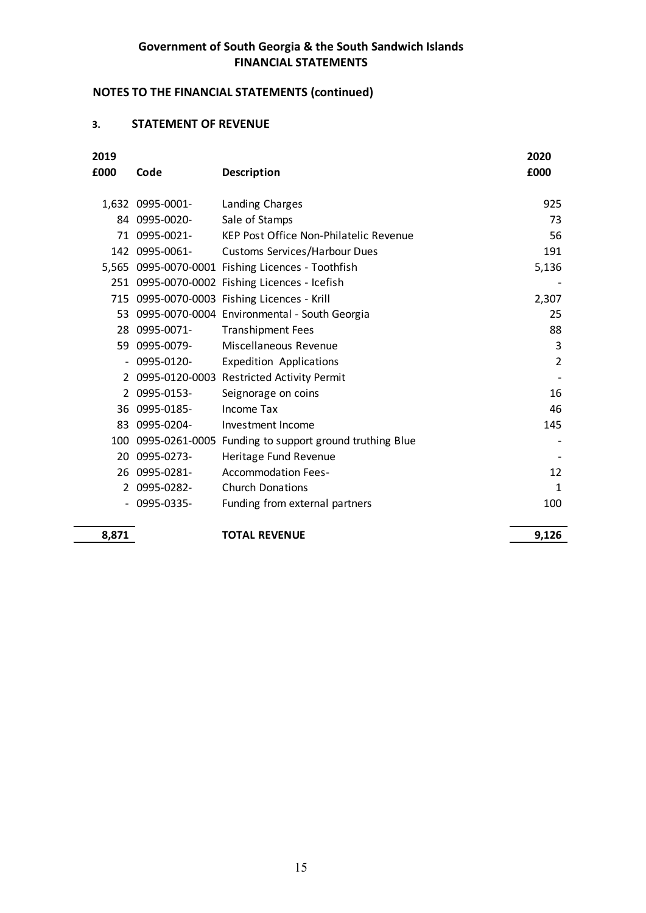# NOTES TO THE FINANCIAL STATEMENTS (continued)

### 3. STATEMENT OF REVENUE

|              | Government of South Georgia & the South Sandwich Islands<br><b>FINANCIAL STATEMENTS</b> |                                                      |                          |  |
|--------------|-----------------------------------------------------------------------------------------|------------------------------------------------------|--------------------------|--|
|              |                                                                                         | <b>NOTES TO THE FINANCIAL STATEMENTS (continued)</b> |                          |  |
| 3.           | <b>STATEMENT OF REVENUE</b>                                                             |                                                      |                          |  |
| 2019<br>£000 | Code                                                                                    | <b>Description</b>                                   | 2020<br>£000             |  |
|              | 1,632 0995-0001-                                                                        | Landing Charges                                      | 925                      |  |
|              | 84 0995-0020-                                                                           | Sale of Stamps                                       | 73                       |  |
| 71           | 0995-0021-                                                                              | KEP Post Office Non-Philatelic Revenue               | 56                       |  |
|              | 142 0995-0061-                                                                          | Customs Services/Harbour Dues                        | 191                      |  |
|              |                                                                                         | 5,565 0995-0070-0001 Fishing Licences - Toothfish    | 5,136                    |  |
|              |                                                                                         | 251 0995-0070-0002 Fishing Licences - Icefish        |                          |  |
| 715          |                                                                                         | 0995-0070-0003 Fishing Licences - Krill              | 2,307                    |  |
| 53           |                                                                                         | 0995-0070-0004 Environmental - South Georgia         | 25                       |  |
|              | 28 0995-0071-                                                                           | <b>Transhipment Fees</b>                             | 88                       |  |
|              | 59 0995-0079-                                                                           | Miscellaneous Revenue                                | 3                        |  |
|              | $-0995 - 0120 -$                                                                        | <b>Expedition Applications</b>                       | $\overline{2}$           |  |
|              |                                                                                         | 2 0995-0120-0003 Restricted Activity Permit          | $\overline{\phantom{a}}$ |  |
|              | 2 0995-0153-                                                                            | Seignorage on coins                                  | 16                       |  |
|              | 36 0995-0185-                                                                           | Income Tax                                           | 46                       |  |
|              | 83 0995-0204-                                                                           | Investment Income                                    | 145                      |  |
| 100          | 0995-0261-0005                                                                          | Funding to support ground truthing Blue              |                          |  |
|              | 20 0995-0273-                                                                           | Heritage Fund Revenue                                |                          |  |
|              | 26 0995-0281-                                                                           | <b>Accommodation Fees-</b>                           | 12                       |  |
|              | 2 0995-0282-                                                                            | <b>Church Donations</b>                              | $\mathbf{1}$             |  |
|              | $-0995 - 0335 -$                                                                        | Funding from external partners                       | 100                      |  |
|              |                                                                                         |                                                      |                          |  |
| 8,871        |                                                                                         | <b>TOTAL REVENUE</b>                                 | 9,126                    |  |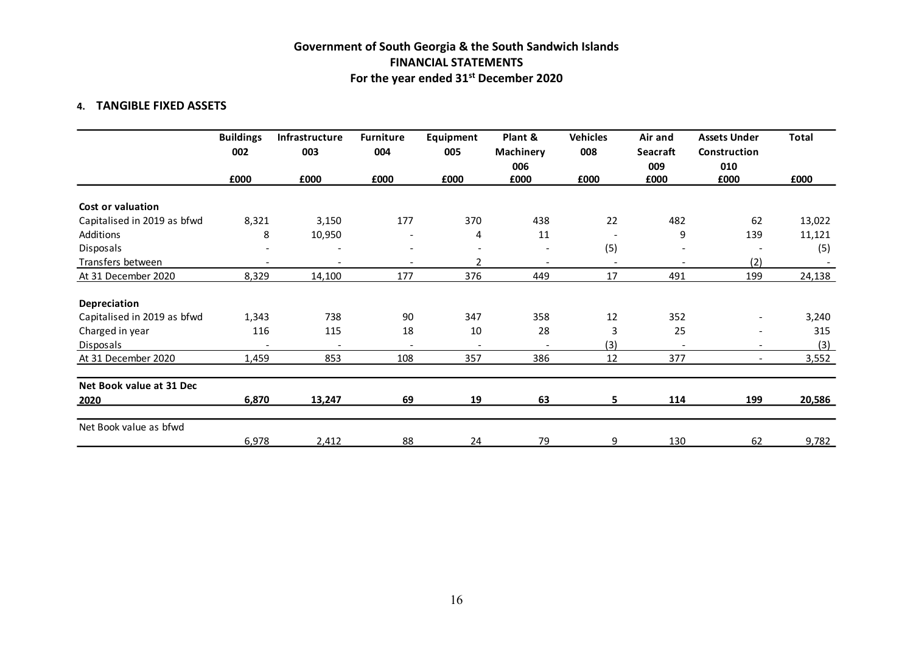# Government of South Georgia & the South Sandwich Islands FINANCIAL STATEMENTS For the year ended 31st December 2020

#### 4. TANGIBLE FIXED ASSETS

|                             |                         |                          |                          | <b>FINANCIAL STATEMENTS</b> | Government of South Georgia & the South Sandwich Islands<br>For the year ended 31 <sup>st</sup> December 2020 |                        |                                   |                                            |              |
|-----------------------------|-------------------------|--------------------------|--------------------------|-----------------------------|---------------------------------------------------------------------------------------------------------------|------------------------|-----------------------------------|--------------------------------------------|--------------|
| 4. TANGIBLE FIXED ASSETS    |                         |                          |                          |                             |                                                                                                               |                        |                                   |                                            |              |
|                             | <b>Buildings</b><br>002 | Infrastructure<br>003    | <b>Furniture</b><br>004  | Equipment<br>005            | Plant &<br><b>Machinery</b><br>006                                                                            | <b>Vehicles</b><br>008 | Air and<br><b>Seacraft</b><br>009 | <b>Assets Under</b><br>Construction<br>010 | <b>Total</b> |
|                             | £000                    | £000                     | £000                     | £000                        | £000                                                                                                          | £000                   | £000                              | £000                                       | £000         |
| Cost or valuation           |                         |                          |                          |                             |                                                                                                               |                        |                                   |                                            |              |
| Capitalised in 2019 as bfwd | 8,321                   | 3,150                    | 177                      | 370                         | 438                                                                                                           | 22                     | 482                               | 62                                         | 13,022       |
| Additions                   | 8                       | 10,950                   | $\overline{\phantom{a}}$ | $\overline{4}$              | 11                                                                                                            | $\sim$                 | 9                                 | 139                                        | 11,121       |
| Disposals                   |                         |                          | $\overline{\phantom{0}}$ |                             | $\overline{\phantom{0}}$                                                                                      | (5)                    | $\overline{\phantom{0}}$          | $\overline{\phantom{a}}$                   | (5)          |
| Transfers between           |                         | $\overline{\phantom{a}}$ |                          | $\overline{2}$              | $\overline{\phantom{a}}$                                                                                      | $\sim$                 |                                   | (2)                                        |              |
| At 31 December 2020         | 8,329                   | 14,100                   | 177                      | 376                         | 449                                                                                                           | 17                     | 491                               | 199                                        | 24,138       |
| Depreciation                |                         |                          |                          |                             |                                                                                                               |                        |                                   |                                            |              |
| Capitalised in 2019 as bfwd | 1,343                   | 738                      | 90                       | 347                         | 358                                                                                                           | 12                     | 352                               | $\overline{\phantom{a}}$                   | 3,240        |
| Charged in year             | 116                     | 115                      | 18                       | 10                          | 28                                                                                                            | $\overline{3}$         | 25                                | $\overline{\phantom{a}}$                   | 315          |
| Disposals                   |                         | $\sim$                   | $\overline{\phantom{a}}$ | $\overline{\phantom{a}}$    | $\overline{\phantom{0}}$                                                                                      | (3)                    | $\overline{\phantom{0}}$          | $\sim$                                     | (3)          |
| At 31 December 2020         | 1,459                   | 853                      | 108                      | 357                         | 386                                                                                                           | 12                     | 377                               | $\sim$                                     | 3,552        |
| Net Book value at 31 Dec    |                         |                          |                          |                             |                                                                                                               |                        |                                   |                                            |              |
| 2020                        | 6,870                   | 13,247                   | 69                       | 19                          | 63                                                                                                            | 5                      | 114                               | 199                                        | 20,586       |
| Net Book value as bfwd      |                         |                          |                          |                             |                                                                                                               |                        |                                   |                                            |              |
|                             | 6,978                   | 2,412                    | 88                       | 24                          | 79                                                                                                            | -9                     | 130                               | 62                                         | 9,782        |
|                             |                         |                          |                          |                             |                                                                                                               |                        |                                   |                                            |              |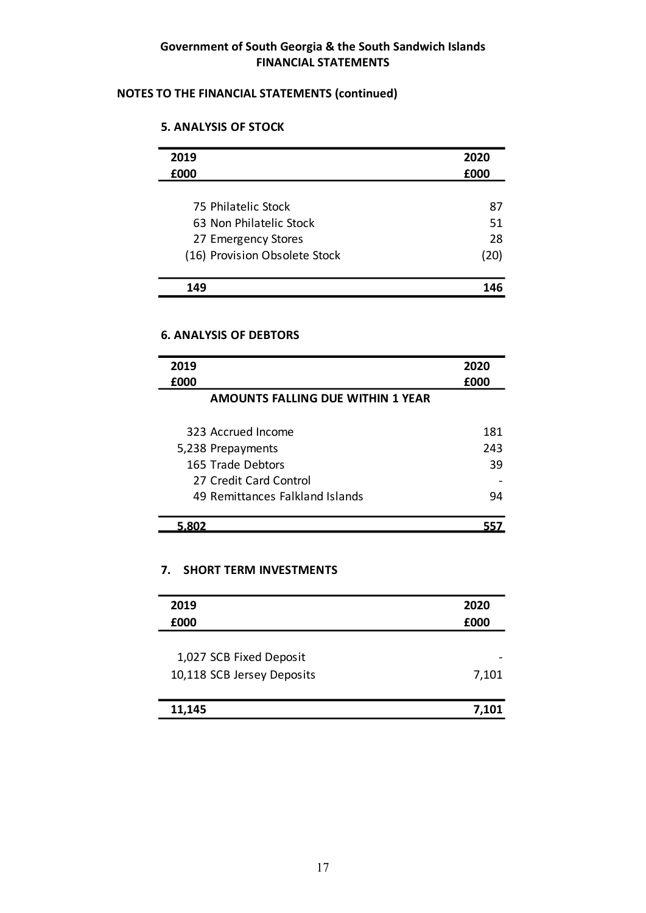## NOTES TO THE FINANCIAL STATEMENTS (continued)

### 5. ANALYSIS OF STOCK

| 2019                          | 2020 |
|-------------------------------|------|
| £000                          | £000 |
| 75 Philatelic Stock           | 87   |
| 63 Non Philatelic Stock       | 51   |
| 27 Emergency Stores           | 28   |
| (16) Provision Obsolete Stock | (20) |
| 149                           | 146  |

#### 6. ANALYSIS OF DEBTORS

| 2019                                     | 2020  |
|------------------------------------------|-------|
| £000                                     | £000  |
| <b>AMOUNTS FALLING DUE WITHIN 1 YEAR</b> |       |
| 323 Accrued Income                       | 181   |
| 5,238 Prepayments                        | 243   |
| 165 Trade Debtors                        | 39    |
| 27 Credit Card Control                   |       |
| 49 Remittances Falkland Islands          | 94    |
| 5.802                                    | 557   |
| 7.<br><b>SHORT TERM INVESTMENTS</b>      |       |
| 2019                                     | 2020  |
| £000                                     | £000  |
| 1,027 SCB Fixed Deposit                  |       |
| 10,118 SCB Jersey Deposits               | 7,101 |
|                                          |       |

#### 7. SHORT TERM INVESTMENTS

| 2019                       | 2020                     |
|----------------------------|--------------------------|
| £000                       | £000                     |
|                            |                          |
| 1,027 SCB Fixed Deposit    | $\overline{\phantom{a}}$ |
| 10,118 SCB Jersey Deposits | 7,101                    |
|                            |                          |
| 11,145                     | 7,101                    |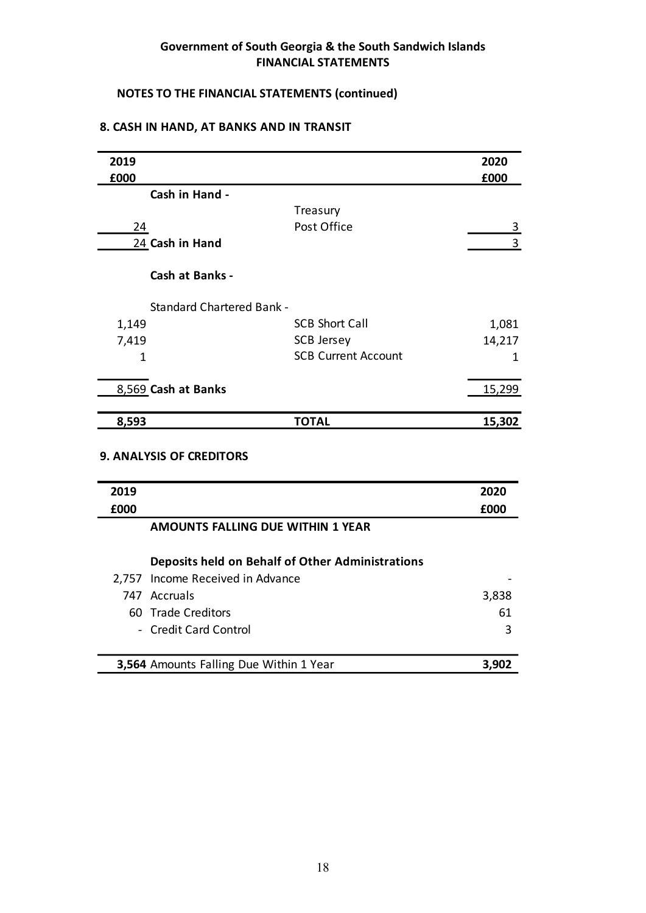# NOTES TO THE FINANCIAL STATEMENTS (continued)

#### 8. CASH IN HAND, AT BANKS AND IN TRANSIT

| 2019                             |                                                  | 2020           |
|----------------------------------|--------------------------------------------------|----------------|
| £000                             |                                                  | £000           |
| Cash in Hand -                   |                                                  |                |
|                                  | Treasury                                         |                |
| 24                               | Post Office                                      | $\overline{3}$ |
| 24 Cash in Hand                  |                                                  | 3              |
| Cash at Banks -                  |                                                  |                |
| <b>Standard Chartered Bank -</b> |                                                  |                |
| 1,149                            | <b>SCB Short Call</b>                            | 1,081          |
| 7,419                            | <b>SCB Jersey</b>                                | 14,217         |
| $\mathbf 1$                      | <b>SCB Current Account</b>                       | 1              |
| 8,569 Cash at Banks              |                                                  | 15,299         |
| 8,593                            | <b>TOTAL</b>                                     | 15,302         |
| <b>9. ANALYSIS OF CREDITORS</b>  |                                                  |                |
| 2019                             |                                                  | 2020           |
| £000                             |                                                  | £000           |
|                                  | AMOUNTS FALLING DUE WITHIN 1 YEAR                |                |
|                                  | Deposits held on Behalf of Other Administrations |                |
| 2,757 Income Received in Advance |                                                  |                |
|                                  |                                                  |                |

#### 9. ANALYSIS OF CREDITORS

| 1,149       |                                   | <b>SCB Short Call</b>                            | 1,081  |
|-------------|-----------------------------------|--------------------------------------------------|--------|
| 7,419       |                                   | <b>SCB Jersey</b>                                | 14,217 |
| $\mathbf 1$ |                                   | <b>SCB Current Account</b>                       | 1      |
|             | 8,569 Cash at Banks               |                                                  | 15,299 |
| 8,593       |                                   | <b>TOTAL</b>                                     | 15,302 |
|             | <b>9. ANALYSIS OF CREDITORS</b>   |                                                  |        |
|             |                                   |                                                  | 2020   |
| 2019        |                                   |                                                  |        |
| £000        |                                   |                                                  | £000   |
|             | AMOUNTS FALLING DUE WITHIN 1 YEAR |                                                  |        |
|             |                                   | Deposits held on Behalf of Other Administrations |        |
|             | 2,757 Income Received in Advance  |                                                  |        |
|             | 747 Accruals                      |                                                  | 3,838  |
|             | 60 Trade Creditors                |                                                  | 61     |
|             | - Credit Card Control             |                                                  | 3      |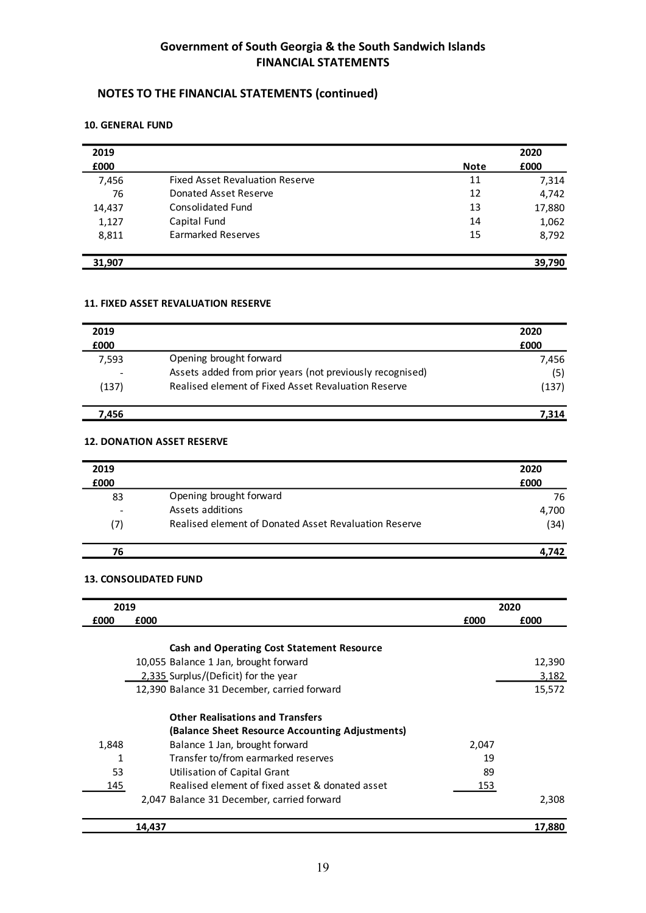# NOTES TO THE FINANCIAL STATEMENTS (continued)

#### 10. GENERAL FUND

| 2019<br>£000 |                                        | <b>Note</b> | 2020<br>£000 |
|--------------|----------------------------------------|-------------|--------------|
| 7,456        | <b>Fixed Asset Revaluation Reserve</b> | 11          | 7,314        |
| 76           | Donated Asset Reserve                  | 12          | 4,742        |
| 14,437       | Consolidated Fund                      | 13          | 17,880       |
| 1,127        | Capital Fund                           | 14          | 1,062        |
| 8,811        | <b>Earmarked Reserves</b>              | 15          | 8,792        |
| 31,907       |                                        |             | 39,790       |

#### 11. FIXED ASSET REVALUATION RESERVE

| 2019  |                                                           | 2020  |
|-------|-----------------------------------------------------------|-------|
| £000  |                                                           | £000  |
| 7,593 | Opening brought forward                                   | 7,456 |
|       | Assets added from prior years (not previously recognised) | (5)   |
| (137) | Realised element of Fixed Asset Revaluation Reserve       | (137) |
| 7.456 |                                                           | 7.314 |

#### 12. DONATION ASSET RESERVE

| 2019 |                                                       | 2020  |
|------|-------------------------------------------------------|-------|
| £000 |                                                       | £000  |
| 83   | Opening brought forward                               | 76    |
|      | Assets additions                                      | 4,700 |
| (7)  | Realised element of Donated Asset Revaluation Reserve | (34)  |
| 76   |                                                       | 4.742 |

### 13. CONSOLIDATED FUND

| 2019  |                                                   |       | 2020   |
|-------|---------------------------------------------------|-------|--------|
| £000  | £000                                              | £000  | £000   |
|       |                                                   |       |        |
|       | <b>Cash and Operating Cost Statement Resource</b> |       |        |
|       | 10,055 Balance 1 Jan, brought forward             |       | 12,390 |
|       | 2,335 Surplus/(Deficit) for the year              |       | 3,182  |
|       | 12,390 Balance 31 December, carried forward       |       | 15,572 |
|       | <b>Other Realisations and Transfers</b>           |       |        |
|       | (Balance Sheet Resource Accounting Adjustments)   |       |        |
| 1,848 | Balance 1 Jan, brought forward                    | 2,047 |        |
| 1     | Transfer to/from earmarked reserves               | 19    |        |
| 53    | Utilisation of Capital Grant                      | 89    |        |
| 145   | Realised element of fixed asset & donated asset   | 153   |        |
|       | 2,047 Balance 31 December, carried forward        |       | 2,308  |
|       | 14,437                                            |       | 17,880 |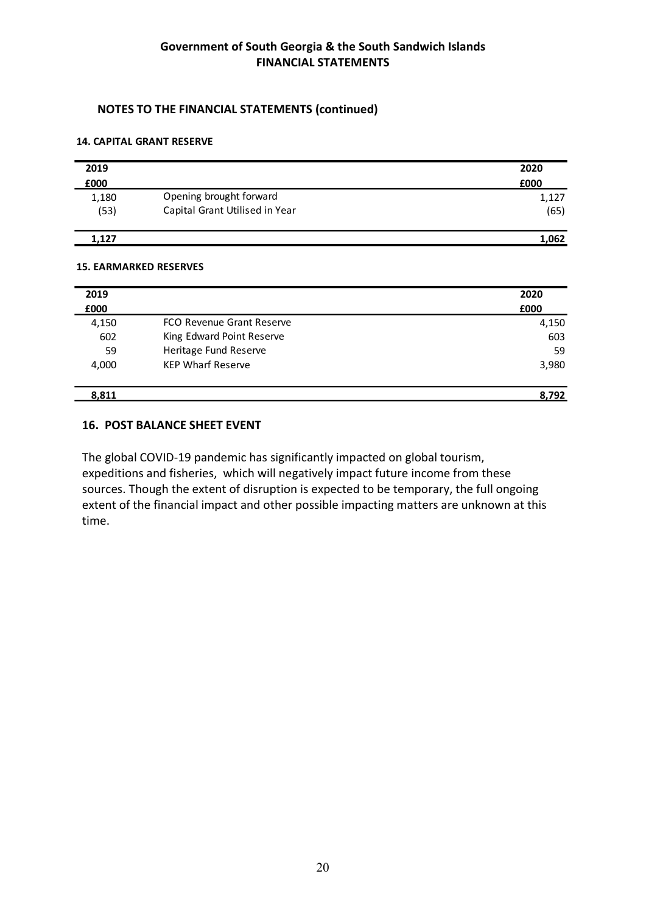# NOTES TO THE FINANCIAL STATEMENTS (continued)

#### 14. CAPITAL GRANT RESERVE

|       | Government of South Georgia & the South Sandwich Islands<br><b>FINANCIAL STATEMENTS</b> |       |
|-------|-----------------------------------------------------------------------------------------|-------|
|       |                                                                                         |       |
|       | <b>NOTES TO THE FINANCIAL STATEMENTS (continued)</b>                                    |       |
|       | <b>14. CAPITAL GRANT RESERVE</b>                                                        |       |
| 2019  |                                                                                         | 2020  |
| £000  |                                                                                         | £000  |
| 1,180 | Opening brought forward                                                                 | 1,127 |
| (53)  | Capital Grant Utilised in Year                                                          | (65)  |
| 1,127 |                                                                                         | 1,062 |

#### 15. EARMARKED RESERVES

|       | Government of South Georgia & the South Sandwich Islands<br><b>FINANCIAL STATEMENTS</b> |       |
|-------|-----------------------------------------------------------------------------------------|-------|
|       | <b>NOTES TO THE FINANCIAL STATEMENTS (continued)</b>                                    |       |
|       | <b>14. CAPITAL GRANT RESERVE</b>                                                        |       |
| 2019  |                                                                                         | 2020  |
| £000  |                                                                                         | £000  |
| 1,180 | Opening brought forward                                                                 | 1,127 |
| (53)  | Capital Grant Utilised in Year                                                          | (65)  |
| 1,127 |                                                                                         | 1,062 |
|       | <b>15. EARMARKED RESERVES</b>                                                           |       |
| 2019  |                                                                                         | 2020  |
| £000  |                                                                                         | £000  |
| 4,150 | FCO Revenue Grant Reserve                                                               | 4,150 |
| 602   | King Edward Point Reserve                                                               | 603   |
| 59    | Heritage Fund Reserve                                                                   | 59    |
| 4,000 | <b>KEP Wharf Reserve</b>                                                                | 3,980 |
| 8,811 |                                                                                         | 8,792 |

#### 16. POST BALANCE SHEET EVENT

The global COVID-19 pandemic has significantly impacted on global tourism, expeditions and fisheries, which will negatively impact future income from these sources. Though the extent of disruption is expected to be temporary, the full ongoing extent of the financial impact and other possible impacting matters are unknown at this time.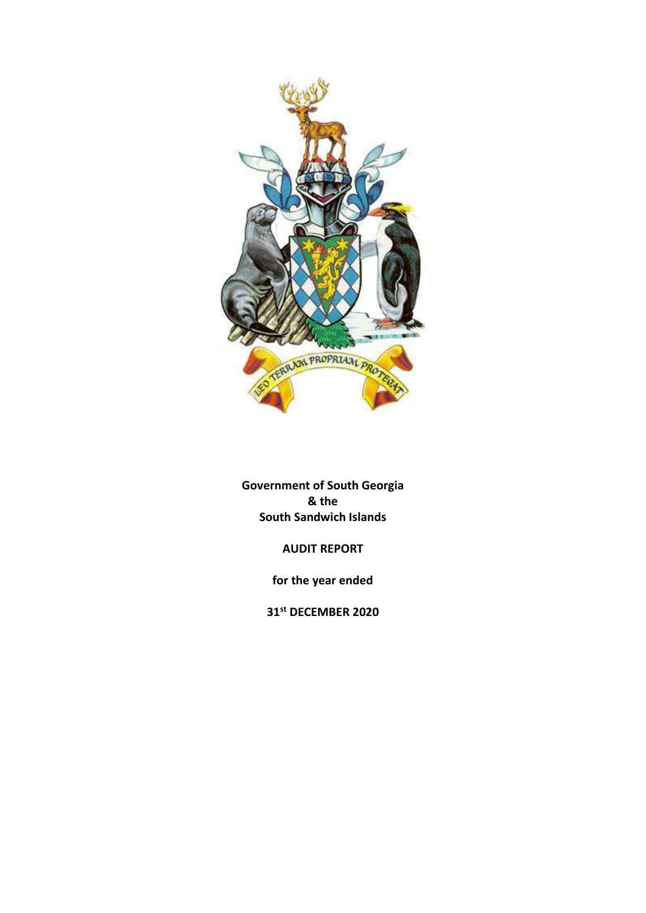

Government of South Georgia & the South Sandwich Islands

AUDIT REPORT

for the year ended

31st DECEMBER 2020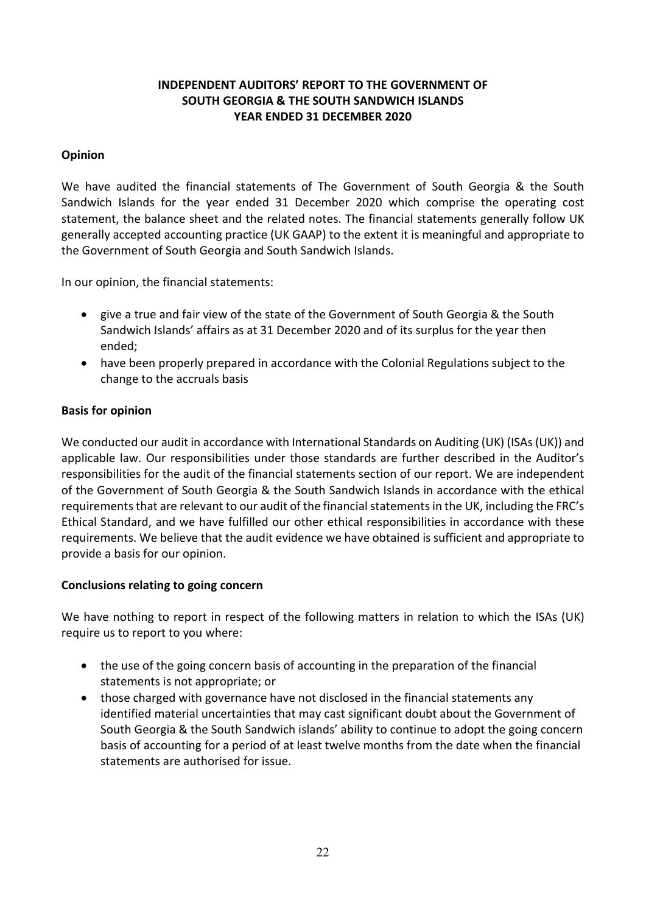# INDEPENDENT AUDITORS' REPORT TO THE GOVERNMENT OF SOUTH GEORGIA & THE SOUTH SANDWICH ISLANDS YEAR ENDED 31 DECEMBER 2020

# Opinion

We have audited the financial statements of The Government of South Georgia & the South Sandwich Islands for the year ended 31 December 2020 which comprise the operating cost statement, the balance sheet and the related notes. The financial statements generally follow UK generally accepted accounting practice (UK GAAP) to the extent it is meaningful and appropriate to the Government of South Georgia and South Sandwich Islands.

In our opinion, the financial statements:

- give a true and fair view of the state of the Government of South Georgia & the South Sandwich Islands' affairs as at 31 December 2020 and of its surplus for the year then ended;
- have been properly prepared in accordance with the Colonial Regulations subject to the change to the accruals basis

#### Basis for opinion

We conducted our audit in accordance with International Standards on Auditing (UK) (ISAs (UK)) and applicable law. Our responsibilities under those standards are further described in the Auditor's responsibilities for the audit of the financial statements section of our report. We are independent of the Government of South Georgia & the South Sandwich Islands in accordance with the ethical requirements that are relevant to our audit of the financial statements in the UK, including the FRC's Ethical Standard, and we have fulfilled our other ethical responsibilities in accordance with these requirements. We believe that the audit evidence we have obtained is sufficient and appropriate to provide a basis for our opinion.

## Conclusions relating to going concern

We have nothing to report in respect of the following matters in relation to which the ISAs (UK) require us to report to you where:

- the use of the going concern basis of accounting in the preparation of the financial statements is not appropriate; or
- those charged with governance have not disclosed in the financial statements any identified material uncertainties that may cast significant doubt about the Government of South Georgia & the South Sandwich islands' ability to continue to adopt the going concern basis of accounting for a period of at least twelve months from the date when the financial statements are authorised for issue.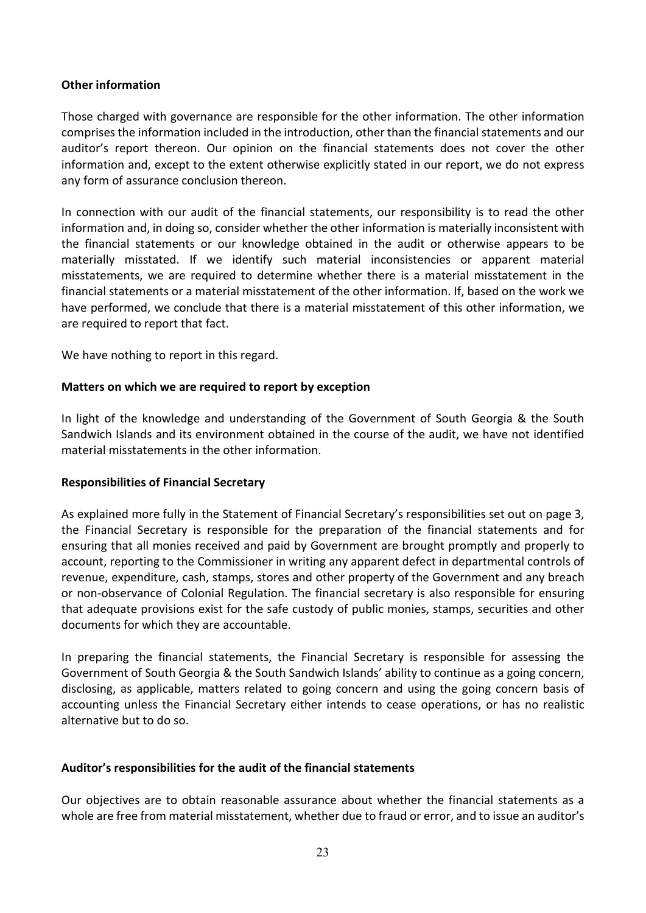#### Other information

Those charged with governance are responsible for the other information. The other information comprises the information included in the introduction, other than the financial statements and our auditor's report thereon. Our opinion on the financial statements does not cover the other information and, except to the extent otherwise explicitly stated in our report, we do not express any form of assurance conclusion thereon.

In connection with our audit of the financial statements, our responsibility is to read the other information and, in doing so, consider whether the other information is materially inconsistent with the financial statements or our knowledge obtained in the audit or otherwise appears to be materially misstated. If we identify such material inconsistencies or apparent material misstatements, we are required to determine whether there is a material misstatement in the financial statements or a material misstatement of the other information. If, based on the work we have performed, we conclude that there is a material misstatement of this other information, we are required to report that fact.

We have nothing to report in this regard.

#### Matters on which we are required to report by exception

In light of the knowledge and understanding of the Government of South Georgia & the South Sandwich Islands and its environment obtained in the course of the audit, we have not identified material misstatements in the other information.

#### Responsibilities of Financial Secretary

As explained more fully in the Statement of Financial Secretary's responsibilities set out on page 3, the Financial Secretary is responsible for the preparation of the financial statements and for ensuring that all monies received and paid by Government are brought promptly and properly to account, reporting to the Commissioner in writing any apparent defect in departmental controls of revenue, expenditure, cash, stamps, stores and other property of the Government and any breach or non-observance of Colonial Regulation. The financial secretary is also responsible for ensuring that adequate provisions exist for the safe custody of public monies, stamps, securities and other documents for which they are accountable.

In preparing the financial statements, the Financial Secretary is responsible for assessing the Government of South Georgia & the South Sandwich Islands' ability to continue as a going concern, disclosing, as applicable, matters related to going concern and using the going concern basis of accounting unless the Financial Secretary either intends to cease operations, or has no realistic alternative but to do so.

#### Auditor's responsibilities for the audit of the financial statements

Our objectives are to obtain reasonable assurance about whether the financial statements as a whole are free from material misstatement, whether due to fraud or error, and to issue an auditor's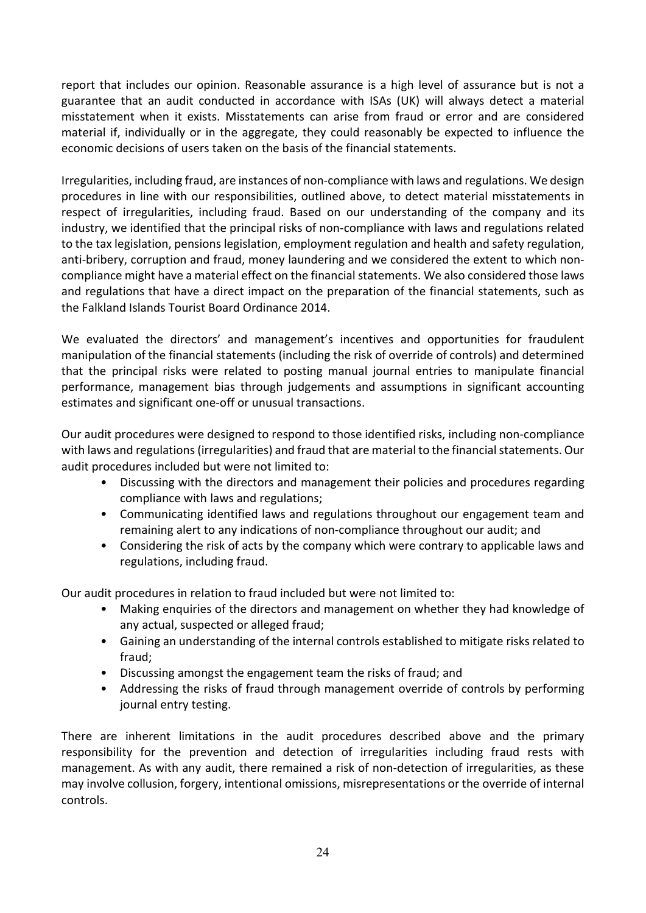report that includes our opinion. Reasonable assurance is a high level of assurance but is not a guarantee that an audit conducted in accordance with ISAs (UK) will always detect a material misstatement when it exists. Misstatements can arise from fraud or error and are considered material if, individually or in the aggregate, they could reasonably be expected to influence the economic decisions of users taken on the basis of the financial statements.

Irregularities, including fraud, are instances of non-compliance with laws and regulations. We design procedures in line with our responsibilities, outlined above, to detect material misstatements in respect of irregularities, including fraud. Based on our understanding of the company and its industry, we identified that the principal risks of non-compliance with laws and regulations related to the tax legislation, pensions legislation, employment regulation and health and safety regulation, anti-bribery, corruption and fraud, money laundering and we considered the extent to which noncompliance might have a material effect on the financial statements. We also considered those laws and regulations that have a direct impact on the preparation of the financial statements, such as the Falkland Islands Tourist Board Ordinance 2014.

We evaluated the directors' and management's incentives and opportunities for fraudulent manipulation of the financial statements (including the risk of override of controls) and determined that the principal risks were related to posting manual journal entries to manipulate financial performance, management bias through judgements and assumptions in significant accounting estimates and significant one-off or unusual transactions.

Our audit procedures were designed to respond to those identified risks, including non-compliance with laws and regulations (irregularities) and fraud that are material to the financial statements. Our audit procedures included but were not limited to:

- Discussing with the directors and management their policies and procedures regarding compliance with laws and regulations;
- Communicating identified laws and regulations throughout our engagement team and remaining alert to any indications of non-compliance throughout our audit; and
- Considering the risk of acts by the company which were contrary to applicable laws and regulations, including fraud.

Our audit procedures in relation to fraud included but were not limited to:

- Making enquiries of the directors and management on whether they had knowledge of any actual, suspected or alleged fraud;
- Gaining an understanding of the internal controls established to mitigate risks related to fraud;
- Discussing amongst the engagement team the risks of fraud; and
- Addressing the risks of fraud through management override of controls by performing journal entry testing.

There are inherent limitations in the audit procedures described above and the primary responsibility for the prevention and detection of irregularities including fraud rests with management. As with any audit, there remained a risk of non-detection of irregularities, as these may involve collusion, forgery, intentional omissions, misrepresentations or the override of internal controls.